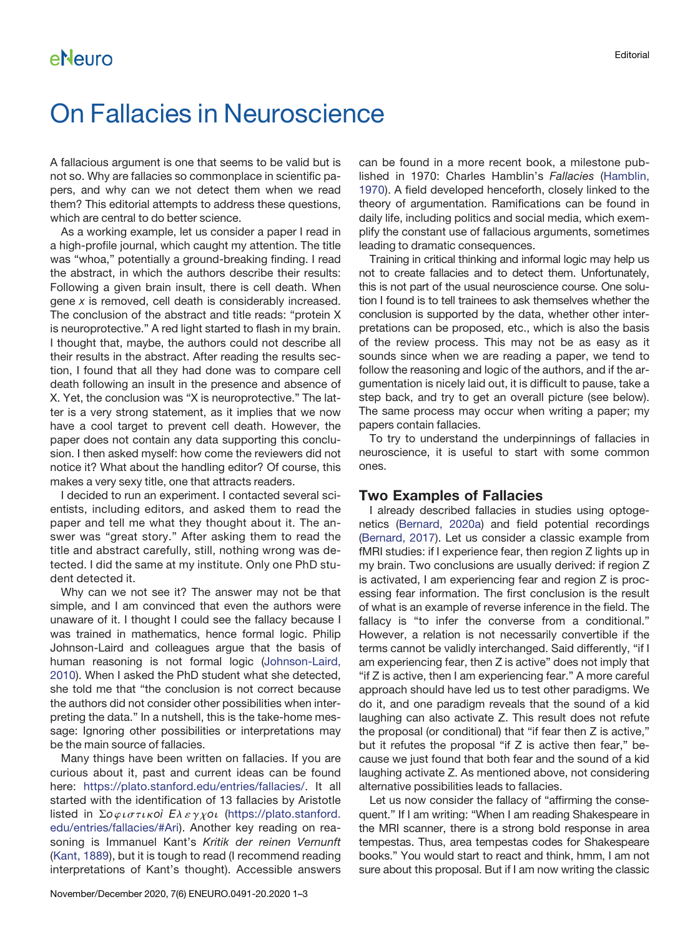### eNeuro

# On Fallacies in Neuroscience

A fallacious argument is one that seems to be valid but is not so. Why are fallacies so commonplace in scientific papers, and why can we not detect them when we read them? This editorial attempts to address these questions, which are central to do better science.

As a working example, let us consider a paper I read in a high-profile journal, which caught my attention. The title was "whoa," potentially a ground-breaking finding. I read the abstract, in which the authors describe their results: Following a given brain insult, there is cell death. When gene x is removed, cell death is considerably increased. The conclusion of the abstract and title reads: "protein X is neuroprotective." A red light started to flash in my brain. I thought that, maybe, the authors could not describe all their results in the abstract. After reading the results section, I found that all they had done was to compare cell death following an insult in the presence and absence of X. Yet, the conclusion was "X is neuroprotective." The latter is a very strong statement, as it implies that we now have a cool target to prevent cell death. However, the paper does not contain any data supporting this conclusion. I then asked myself: how come the reviewers did not notice it? What about the handling editor? Of course, this makes a very sexy title, one that attracts readers.

I decided to run an experiment. I contacted several scientists, including editors, and asked them to read the paper and tell me what they thought about it. The answer was "great story." After asking them to read the title and abstract carefully, still, nothing wrong was detected. I did the same at my institute. Only one PhD student detected it.

Why can we not see it? The answer may not be that simple, and I am convinced that even the authors were unaware of it. I thought I could see the fallacy because I was trained in mathematics, hence formal logic. Philip Johnson-Laird and colleagues argue that the basis of human reasoning is not formal logic ([Johnson-Laird,](#page-2-0) [2010](#page-2-0)). When I asked the PhD student what she detected, she told me that "the conclusion is not correct because the authors did not consider other possibilities when interpreting the data." In a nutshell, this is the take-home message: Ignoring other possibilities or interpretations may be the main source of fallacies.

Many things have been written on fallacies. If you are curious about it, past and current ideas can be found here: [https://plato.stanford.edu/entries/fallacies/.](https://plato.stanford.edu/entries/fallacies/) It all started with the identification of 13 fallacies by Aristotle listed in  $\Sigma o \varphi \iota \sigma \tau \iota \kappa o i \in \mathbb{R} \times \gamma \chi o \iota$  ([https://plato.stanford.](https://plato.stanford.edu/entries/fallacies/#Ari) [edu/entries/fallacies/#Ari\)](https://plato.stanford.edu/entries/fallacies/#Ari). Another key reading on reasoning is Immanuel Kant's Kritik der reinen Vernunft ([Kant, 1889](#page-2-1)), but it is tough to read (I recommend reading interpretations of Kant's thought). Accessible answers

can be found in a more recent book, a milestone published in 1970: Charles Hamblin's Fallacies ([Hamblin,](#page-2-2) [1970\)](#page-2-2). A field developed henceforth, closely linked to the theory of argumentation. Ramifications can be found in daily life, including politics and social media, which exemplify the constant use of fallacious arguments, sometimes leading to dramatic consequences.

Training in critical thinking and informal logic may help us not to create fallacies and to detect them. Unfortunately, this is not part of the usual neuroscience course. One solution I found is to tell trainees to ask themselves whether the conclusion is supported by the data, whether other interpretations can be proposed, etc., which is also the basis of the review process. This may not be as easy as it sounds since when we are reading a paper, we tend to follow the reasoning and logic of the authors, and if the argumentation is nicely laid out, it is difficult to pause, take a step back, and try to get an overall picture (see below). The same process may occur when writing a paper; my papers contain fallacies.

To try to understand the underpinnings of fallacies in neuroscience, it is useful to start with some common ones.

#### Two Examples of Fallacies

I already described fallacies in studies using optogenetics [\(Bernard, 2020a](#page-2-3)) and field potential recordings [\(Bernard, 2017\)](#page-2-4). Let us consider a classic example from fMRI studies: if I experience fear, then region Z lights up in my brain. Two conclusions are usually derived: if region Z is activated, I am experiencing fear and region Z is processing fear information. The first conclusion is the result of what is an example of reverse inference in the field. The fallacy is "to infer the converse from a conditional." However, a relation is not necessarily convertible if the terms cannot be validly interchanged. Said differently, "if I am experiencing fear, then Z is active" does not imply that "if Z is active, then I am experiencing fear." A more careful approach should have led us to test other paradigms. We do it, and one paradigm reveals that the sound of a kid laughing can also activate Z. This result does not refute the proposal (or conditional) that "if fear then Z is active," but it refutes the proposal "if Z is active then fear," because we just found that both fear and the sound of a kid laughing activate Z. As mentioned above, not considering alternative possibilities leads to fallacies.

Let us now consider the fallacy of "affirming the consequent." If I am writing: "When I am reading Shakespeare in the MRI scanner, there is a strong bold response in area tempestas. Thus, area tempestas codes for Shakespeare books." You would start to react and think, hmm, I am not sure about this proposal. But if I am now writing the classic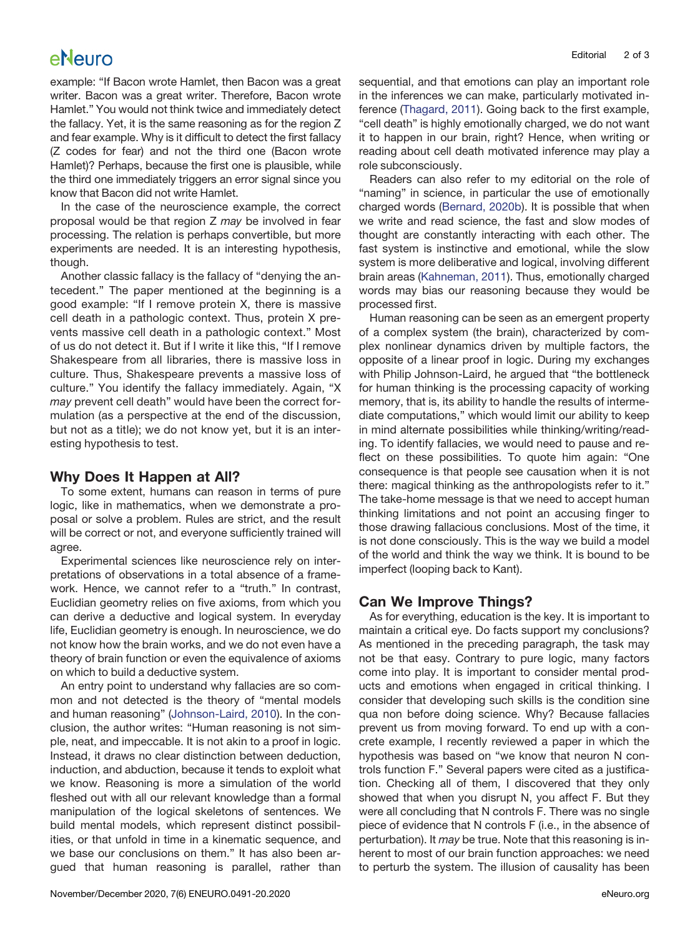## eNeuro

example: "If Bacon wrote Hamlet, then Bacon was a great writer. Bacon was a great writer. Therefore, Bacon wrote Hamlet." You would not think twice and immediately detect the fallacy. Yet, it is the same reasoning as for the region Z and fear example. Why is it difficult to detect the first fallacy (Z codes for fear) and not the third one (Bacon wrote Hamlet)? Perhaps, because the first one is plausible, while the third one immediately triggers an error signal since you know that Bacon did not write Hamlet.

In the case of the neuroscience example, the correct proposal would be that region Z may be involved in fear processing. The relation is perhaps convertible, but more experiments are needed. It is an interesting hypothesis, though.

Another classic fallacy is the fallacy of "denying the antecedent." The paper mentioned at the beginning is a good example: "If I remove protein X, there is massive cell death in a pathologic context. Thus, protein X prevents massive cell death in a pathologic context." Most of us do not detect it. But if I write it like this, "If I remove Shakespeare from all libraries, there is massive loss in culture. Thus, Shakespeare prevents a massive loss of culture." You identify the fallacy immediately. Again, "X may prevent cell death" would have been the correct formulation (as a perspective at the end of the discussion, but not as a title); we do not know yet, but it is an interesting hypothesis to test.

### Why Does It Happen at All?

To some extent, humans can reason in terms of pure logic, like in mathematics, when we demonstrate a proposal or solve a problem. Rules are strict, and the result will be correct or not, and everyone sufficiently trained will agree.

Experimental sciences like neuroscience rely on interpretations of observations in a total absence of a framework. Hence, we cannot refer to a "truth." In contrast, Euclidian geometry relies on five axioms, from which you can derive a deductive and logical system. In everyday life, Euclidian geometry is enough. In neuroscience, we do not know how the brain works, and we do not even have a theory of brain function or even the equivalence of axioms on which to build a deductive system.

An entry point to understand why fallacies are so common and not detected is the theory of "mental models and human reasoning" [\(Johnson-Laird, 2010](#page-2-0)). In the conclusion, the author writes: "Human reasoning is not simple, neat, and impeccable. It is not akin to a proof in logic. Instead, it draws no clear distinction between deduction, induction, and abduction, because it tends to exploit what we know. Reasoning is more a simulation of the world fleshed out with all our relevant knowledge than a formal manipulation of the logical skeletons of sentences. We build mental models, which represent distinct possibilities, or that unfold in time in a kinematic sequence, and we base our conclusions on them." It has also been argued that human reasoning is parallel, rather than

sequential, and that emotions can play an important role in the inferences we can make, particularly motivated inference ([Thagard, 2011\)](#page-2-5). Going back to the first example, "cell death" is highly emotionally charged, we do not want it to happen in our brain, right? Hence, when writing or reading about cell death motivated inference may play a role subconsciously.

Readers can also refer to my editorial on the role of "naming" in science, in particular the use of emotionally charged words [\(Bernard, 2020b\)](#page-2-6). It is possible that when we write and read science, the fast and slow modes of thought are constantly interacting with each other. The fast system is instinctive and emotional, while the slow system is more deliberative and logical, involving different brain areas ([Kahneman, 2011\)](#page-2-7). Thus, emotionally charged words may bias our reasoning because they would be processed first.

Human reasoning can be seen as an emergent property of a complex system (the brain), characterized by complex nonlinear dynamics driven by multiple factors, the opposite of a linear proof in logic. During my exchanges with Philip Johnson-Laird, he argued that "the bottleneck for human thinking is the processing capacity of working memory, that is, its ability to handle the results of intermediate computations," which would limit our ability to keep in mind alternate possibilities while thinking/writing/reading. To identify fallacies, we would need to pause and reflect on these possibilities. To quote him again: "One consequence is that people see causation when it is not there: magical thinking as the anthropologists refer to it." The take-home message is that we need to accept human thinking limitations and not point an accusing finger to those drawing fallacious conclusions. Most of the time, it is not done consciously. This is the way we build a model of the world and think the way we think. It is bound to be imperfect (looping back to Kant).

### Can We Improve Things?

As for everything, education is the key. It is important to maintain a critical eye. Do facts support my conclusions? As mentioned in the preceding paragraph, the task may not be that easy. Contrary to pure logic, many factors come into play. It is important to consider mental products and emotions when engaged in critical thinking. I consider that developing such skills is the condition sine qua non before doing science. Why? Because fallacies prevent us from moving forward. To end up with a concrete example, I recently reviewed a paper in which the hypothesis was based on "we know that neuron N controls function F." Several papers were cited as a justification. Checking all of them, I discovered that they only showed that when you disrupt N, you affect F. But they were all concluding that N controls F. There was no single piece of evidence that N controls F (i.e., in the absence of perturbation). It may be true. Note that this reasoning is inherent to most of our brain function approaches: we need to perturb the system. The illusion of causality has been